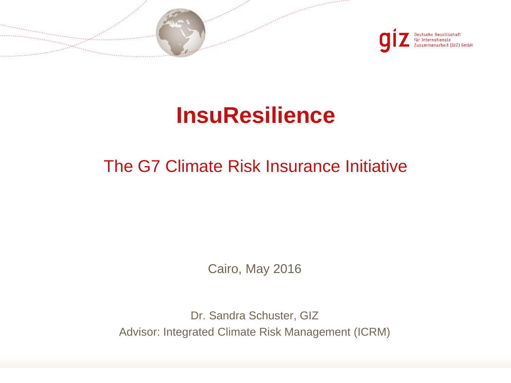



# **InsuResilience**

## The G7 Climate Risk Insurance Initiative

Cairo, May 2016

Dr. Sandra Schuster, GIZ Advisor: Integrated Climate Risk Management (ICRM)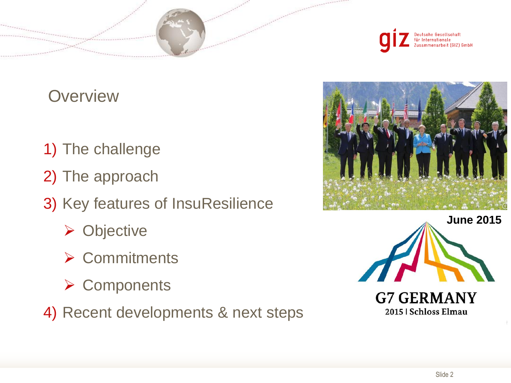

**Overview** 

- 1) The challenge
- 2) The approach
- 3) Key features of InsuResilience
	- **▶ Objective**
	- **▶ Commitments**
	- **≻ Components**
- 4) Recent developments & next steps







2015 | Schloss Elmau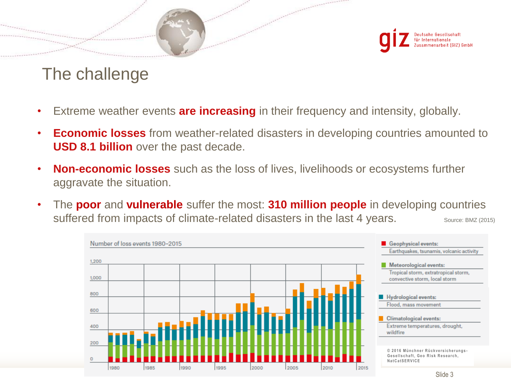Deutsche Gesellschaft für Internationale Iusammenarbeit (GIZ) GmbH

## The challenge

- Extreme weather events **are increasing** in their frequency and intensity, globally.
- **Economic losses** from weather-related disasters in developing countries amounted to **USD 8.1 billion** over the past decade.
- **Non-economic losses** such as the loss of lives, livelihoods or ecosystems further aggravate the situation.
- Source: BMZ (2015) • The **poor** and **vulnerable** suffer the most: **310 million people** in developing countries suffered from impacts of climate-related disasters in the last 4 years.

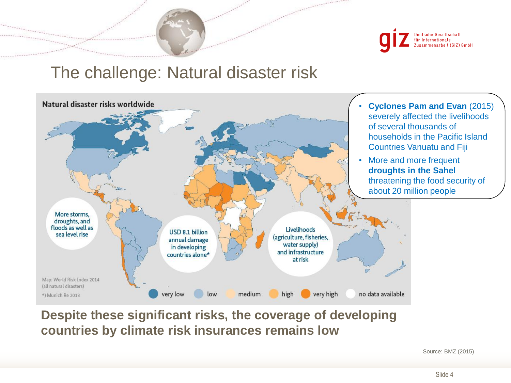

#### The challenge: Natural disaster risk



#### **Despite these significant risks, the coverage of developing countries by climate risk insurances remains low**

Source: BMZ (2015)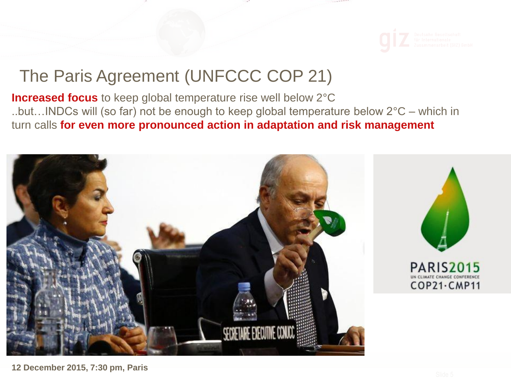

#### The Paris Agreement (UNFCCC COP 21)

**Increased focus** to keep global temperature rise well below 2°C ..but…INDCs will (so far) not be enough to keep global temperature below 2°C – which in turn calls **for even more pronounced action in adaptation and risk management** 

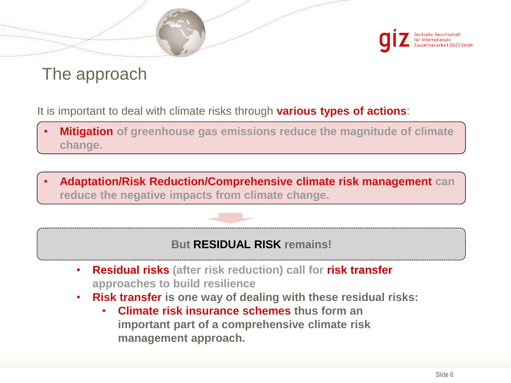

## The approach

It is important to deal with climate risks through **various types of actions**:

- **Mitigation of greenhouse gas emissions reduce the magnitude of climate change.**
- **Adaptation/Risk Reduction/Comprehensive climate risk management can reduce the negative impacts from climate change.**

#### **But RESIDUAL RISK remains!**

- **Residual risks (after risk reduction) call for risk transfer approaches to build resilience**
- **Risk transfer is one way of dealing with these residual risks:**
	- **Climate risk insurance schemes thus form an important part of a comprehensive climate risk management approach.**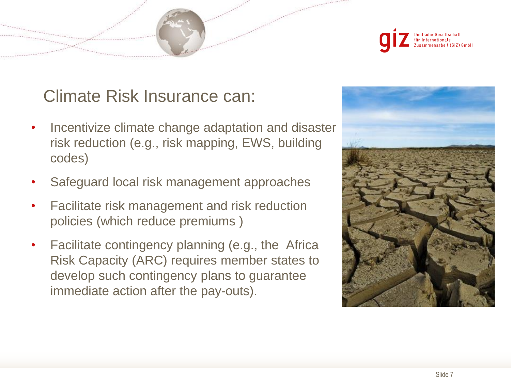

#### Climate Risk Insurance can:

- Incentivize climate change adaptation and disaster risk reduction (e.g., risk mapping, EWS, building codes)
- Safeguard local risk management approaches
- Facilitate risk management and risk reduction policies (which reduce premiums )
- Facilitate contingency planning (e.g., the Africa Risk Capacity (ARC) requires member states to develop such contingency plans to guarantee immediate action after the pay-outs).

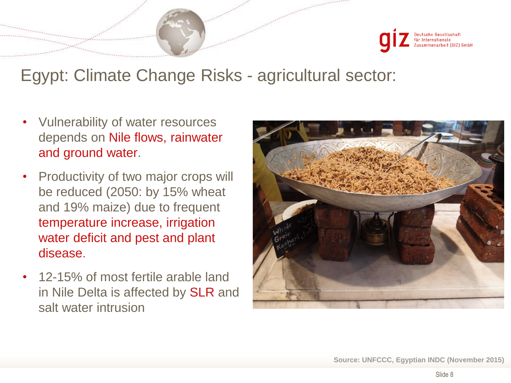## Egypt: Climate Change Risks - agricultural sector:

- Vulnerability of water resources depends on Nile flows, rainwater and ground water.
- Productivity of two major crops will be reduced (2050: by 15% wheat and 19% maize) due to frequent temperature increase, irrigation water deficit and pest and plant disease.
- 12-15% of most fertile arable land in Nile Delta is affected by SLR and salt water intrusion

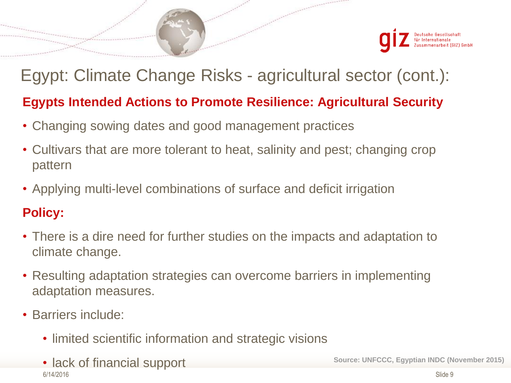

# Egypt: Climate Change Risks - agricultural sector (cont.): **Egypts Intended Actions to Promote Resilience: Agricultural Security**

- Changing sowing dates and good management practices
- Cultivars that are more tolerant to heat, salinity and pest; changing crop pattern
- Applying multi-level combinations of surface and deficit irrigation

#### **Policy:**

- There is a dire need for further studies on the impacts and adaptation to climate change.
- Resulting adaptation strategies can overcome barriers in implementing adaptation measures.
- Barriers include:
	- limited scientific information and strategic visions
	- 6/14/2016 • lack of financial support **Source: UNFCCC, Egyptian INDC (November 2015)**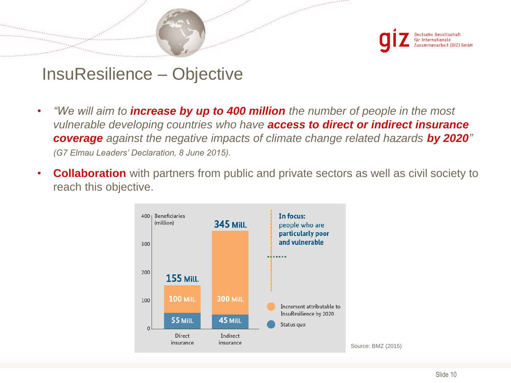

#### InsuResilience – Objective

- *"We will aim to increase by up to 400 million the number of people in the most vulnerable developing countries who have access to direct or indirect insurance coverage* against the negative impacts of climate change related hazards by 2020<sup>"</sup> • *(G7 Elmau Leaders' Declaration, 8 June 2015).*
- **Collaboration** with partners from public and private sectors as well as civil society to reach this objective.

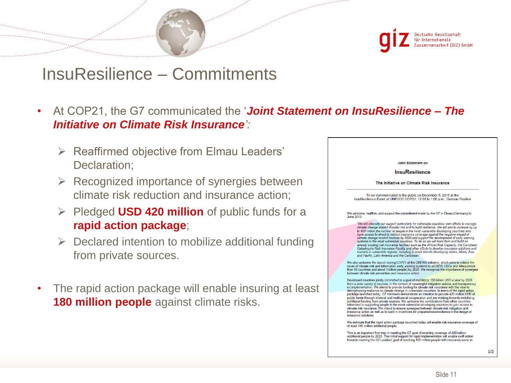#### InsuResilience – Commitments

- *Initiative on Climate Risk Insurance':* • At COP21, the G7 communicated the '*Joint Statement on InsuResilience – The* 
	- $\triangleright$  Reaffirmed objective from Elmau Leaders' Declaration;
	- $\triangleright$  Recognized importance of synergies between climate risk reduction and insurance action;
	- Pledged **USD 420 million** of public funds for a **rapid action package**;
	- $\triangleright$  Declared intention to mobilize additional funding from private sources.
- The rapid action package will enable insuring at least **180 million people** against climate risks.

| <b>Joint Statement on</b>                                                                                                                                                                                                                                                                                                                                                                                                                                                                                                                                                                                                                                                                                                                                                                                                                                                                                                                                                                    |
|----------------------------------------------------------------------------------------------------------------------------------------------------------------------------------------------------------------------------------------------------------------------------------------------------------------------------------------------------------------------------------------------------------------------------------------------------------------------------------------------------------------------------------------------------------------------------------------------------------------------------------------------------------------------------------------------------------------------------------------------------------------------------------------------------------------------------------------------------------------------------------------------------------------------------------------------------------------------------------------------|
| <b>InsuResilience</b>                                                                                                                                                                                                                                                                                                                                                                                                                                                                                                                                                                                                                                                                                                                                                                                                                                                                                                                                                                        |
| The Initiative on Climate Risk Insurance                                                                                                                                                                                                                                                                                                                                                                                                                                                                                                                                                                                                                                                                                                                                                                                                                                                                                                                                                     |
| To be communicated to the public on December 5, 2015 at the<br>InsuResilience Event at UNFCCC COP21, 12:00 to 1:00 p.m., German Pavilion                                                                                                                                                                                                                                                                                                                                                                                                                                                                                                                                                                                                                                                                                                                                                                                                                                                     |
| We welcome, reaffirm, and support the commitment made by the G7 in Elmau (Germany) in<br>June 2015:                                                                                                                                                                                                                                                                                                                                                                                                                                                                                                                                                                                                                                                                                                                                                                                                                                                                                          |
| "We will intensify our support particularly for vulnerable countries' own efforts to manage<br>climate change related disaster risk and to build resilience. We will aim to increase by up<br>to 400 million the number of people in the most vulnerable developing countries who<br>have access to direct or indirect insurance coverage against the negative impact of<br>climate change related hazards by 2020 and support the development of early warning<br>systems in the most vulnerable countries. To do so we will learn from and build on<br>already existing risk insurance facilities such as the African Risk Capacity, the Caribbean<br>Catastrophe Risk Insurance Facility and other efforts to develop insurance solutions and<br>markets in vulnerable regions, including in small islands developing states, Africa, Asia<br>and Pacific. Latin America and the Caribbean."<br>We also welcome the launch during COP21 of the CREWS initiative, which aims to extend the |
| cover of climate risk and information early warning systems to all SIDS, LDCs and Africa (more<br>than 80 countries and about 1 billion people) by 2020. We recognize the importance of synergies<br>between climate risk prevention and insurance action.                                                                                                                                                                                                                                                                                                                                                                                                                                                                                                                                                                                                                                                                                                                                   |
| Developed countries jointly committed to a goal of mobilizing 100 billion USD a year by 2020<br>from a wide variety of sources, in the context of meaningful mitigation actions and transparency<br>on implementation. We intend to provide funding for climate risk insurance with the view to<br>strengthening resilience to climate change in vulnerable countries. In terms of the rapid action                                                                                                                                                                                                                                                                                                                                                                                                                                                                                                                                                                                          |
| package launched today, G7 members demonstrate an intention to provide 420 million USD of<br>public funds through bilateral and multilateral co-operation and are working towards mobilizing<br>additional funding from private sources. We welcome the contributions from other countries<br>interested in supporting people in the most vulnerable developing countries to gain access to<br>climate risk insurance. We intend to ensure synergies between climate risk mitigation and<br>insurance action as well as to build in incentives for preparedness/resilience in the design of<br>insurance solutions                                                                                                                                                                                                                                                                                                                                                                           |
| We estimate that the rapid action package launched today will enable risk insurance coverage of<br>at least 180 million additional people.                                                                                                                                                                                                                                                                                                                                                                                                                                                                                                                                                                                                                                                                                                                                                                                                                                                   |
| This is an important first step in meeting the G7 goal of enabling coverage of 400 million<br>$1 - 1 - 2020$                                                                                                                                                                                                                                                                                                                                                                                                                                                                                                                                                                                                                                                                                                                                                                                                                                                                                 |

owards meeting the G7 Leaders' goal of reaching 400 million people with insurance cover in

1/2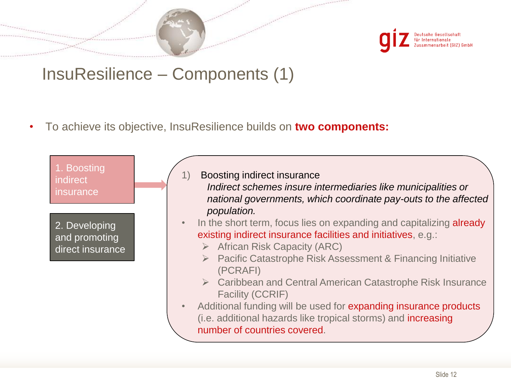

## InsuResilience – Components (1)

• To achieve its objective, InsuResilience builds on **two components:**

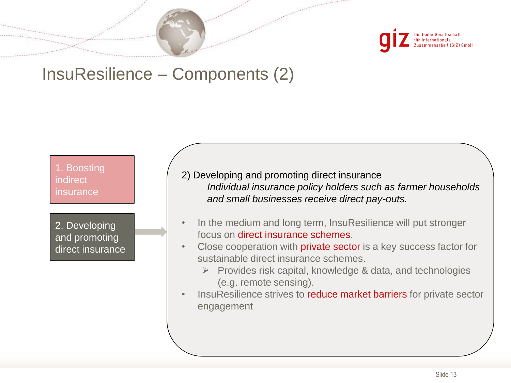

#### InsuResilience – Components (2)

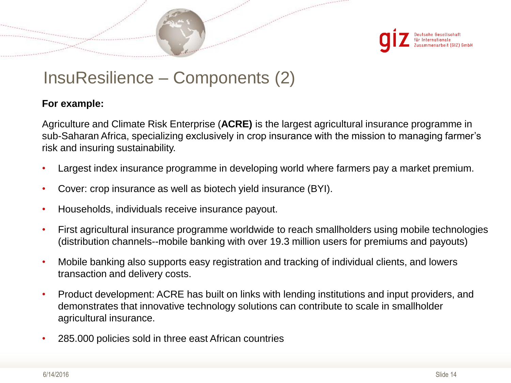

#### InsuResilience – Components (2)

#### **For example:**

Agriculture and Climate Risk Enterprise (**ACRE)** is the largest agricultural insurance programme in sub-Saharan Africa, specializing exclusively in crop insurance with the mission to managing farmer's risk and insuring sustainability.

- Largest index insurance programme in developing world where farmers pay a market premium.
- Cover: crop insurance as well as biotech yield insurance (BYI).
- Households, individuals receive insurance payout.
- First agricultural insurance programme worldwide to reach smallholders using mobile technologies (distribution channels--mobile banking with over 19.3 million users for premiums and payouts)
- Mobile banking also supports easy registration and tracking of individual clients, and lowers transaction and delivery costs.
- Product development: ACRE has built on links with lending institutions and input providers, and demonstrates that innovative technology solutions can contribute to scale in smallholder agricultural insurance.
- 285.000 policies sold in three east African countries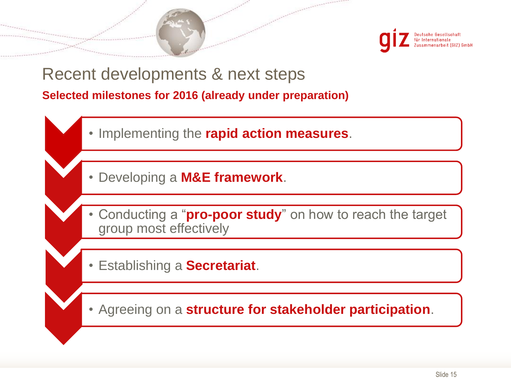

#### **Selected milestones for 2016 (already under preparation)** Recent developments & next steps

- Implementing the **rapid action measures**.
- Developing a **M&E framework**.
- Conducting a "**pro-poor study**" on how to reach the target group most effectively
- Establishing a **Secretariat**.
- Agreeing on a **structure for stakeholder participation**.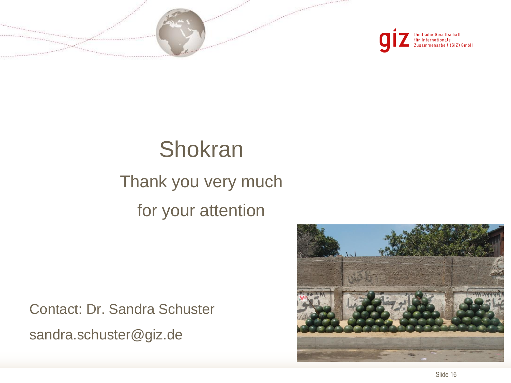



# **Shokran**

# Thank you very much for your attention

Contact: Dr. Sandra Schuster sandra.schuster@giz.de

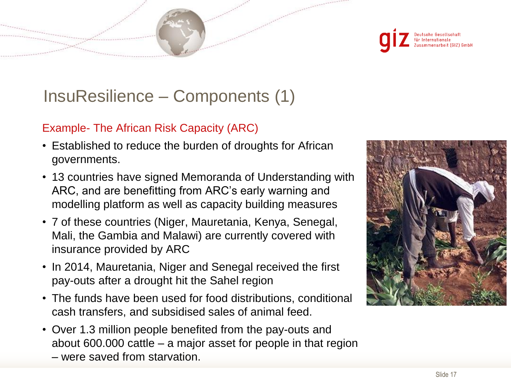

## InsuResilience – Components (1)

#### Example- The African Risk Capacity (ARC)

- Established to reduce the burden of droughts for African governments.
- 13 countries have signed Memoranda of Understanding with ARC, and are benefitting from ARC's early warning and modelling platform as well as capacity building measures
- 7 of these countries (Niger, Mauretania, Kenya, Senegal, Mali, the Gambia and Malawi) are currently covered with insurance provided by ARC
- In 2014, Mauretania, Niger and Senegal received the first pay-outs after a drought hit the Sahel region
- The funds have been used for food distributions, conditional cash transfers, and subsidised sales of animal feed.
- Over 1.3 million people benefited from the pay-outs and about 600.000 cattle – a major asset for people in that region
	- were saved from starvation.